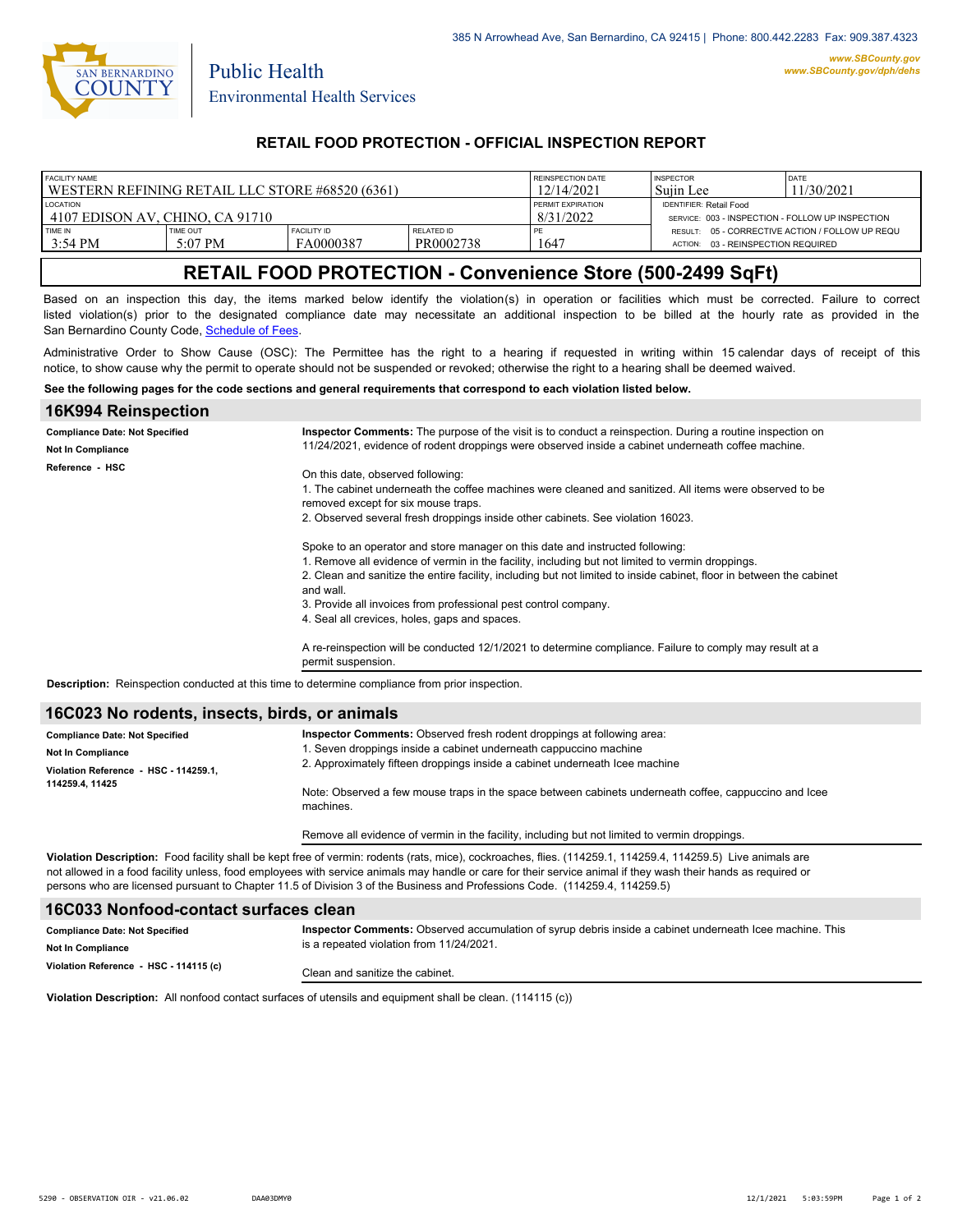

Public Health

# **RETAIL FOOD PROTECTION - OFFICIAL INSPECTION REPORT**

| FACILITY NAME                                     |                       |                                 | REINSPECTION DATE              | <b>INSPECTOR</b>                                 | DATE                                                                                            |  |
|---------------------------------------------------|-----------------------|---------------------------------|--------------------------------|--------------------------------------------------|-------------------------------------------------------------------------------------------------|--|
| l WESTERN REFINING RETAIL LLC STORE #68520 (6361) |                       |                                 | 12/14/2021                     | Suiin Lee                                        | 11/30/2021                                                                                      |  |
| <b>LOCATION</b>                                   |                       |                                 | PERMIT EXPIRATION              | <b>IDENTIFIER: Retail Food</b>                   |                                                                                                 |  |
| 14107 EDISON AV. CHINO. CA 91710                  |                       |                                 | 8/31/2022                      | SERVICE: 003 - INSPECTION - FOLLOW UP INSPECTION |                                                                                                 |  |
| TIME IN<br>3:54 PM                                | TIME OUT<br>$5:07$ PM | <b>FACILITY ID</b><br>FA0000387 | <b>RELATED ID</b><br>PR0002738 | 1647                                             | RESULT: 05 - CORRECTIVE ACTION / FOLLOW UP REQU<br>03 - REINSPECTION REQUIRED<br><b>ACTION:</b> |  |

# **RETAIL FOOD PROTECTION - Convenience Store (500-2499 SqFt)**

Based on an inspection this day, the items marked below identify the violation(s) in operation or facilities which must be corrected. Failure to correct listed violation(s) prior to the designated compliance date may necessitate an additional inspection to be billed at the hourly rate as provided in the San Bernardino County Code, Sc[hedule of Fees.](https://codelibrary.amlegal.com/codes/sanbernardino/latest/sanberncty_ca/0-0-0-122474#JD_16.0213B)

Administrative Order to Show Cause (OSC): The Permittee has the right to a hearing if requested in writing within 15 calendar days of receipt of this notice, to show cause why the permit to operate should not be suspended or revoked; otherwise the right to a hearing shall be deemed waived.

#### **See the following pages for the code sections and general requirements that correspond to each violation listed below.**

| 16K994 Reinspection                   |                                                                                                                                                                                                                                                                                                                                                                                                                                                                                                                                                                                                                                                                                                                                                                                                                                                        |
|---------------------------------------|--------------------------------------------------------------------------------------------------------------------------------------------------------------------------------------------------------------------------------------------------------------------------------------------------------------------------------------------------------------------------------------------------------------------------------------------------------------------------------------------------------------------------------------------------------------------------------------------------------------------------------------------------------------------------------------------------------------------------------------------------------------------------------------------------------------------------------------------------------|
| <b>Compliance Date: Not Specified</b> | <b>Inspector Comments:</b> The purpose of the visit is to conduct a reinspection. During a routine inspection on                                                                                                                                                                                                                                                                                                                                                                                                                                                                                                                                                                                                                                                                                                                                       |
| <b>Not In Compliance</b>              | 11/24/2021, evidence of rodent droppings were observed inside a cabinet underneath coffee machine.                                                                                                                                                                                                                                                                                                                                                                                                                                                                                                                                                                                                                                                                                                                                                     |
| Reference HSC                         | On this date, observed following:<br>1. The cabinet underneath the coffee machines were cleaned and sanitized. All items were observed to be<br>removed except for six mouse traps.<br>2. Observed several fresh droppings inside other cabinets. See violation 16023.<br>Spoke to an operator and store manager on this date and instructed following:<br>1. Remove all evidence of vermin in the facility, including but not limited to vermin droppings.<br>2. Clean and sanitize the entire facility, including but not limited to inside cabinet, floor in between the cabinet<br>and wall.<br>3. Provide all invoices from professional pest control company.<br>4. Seal all crevices, holes, gaps and spaces.<br>A re-reinspection will be conducted 12/1/2021 to determine compliance. Failure to comply may result at a<br>permit suspension. |
|                                       | Becaulation: Deinensetian senducted of this time to determine compliance from prior inconstituto                                                                                                                                                                                                                                                                                                                                                                                                                                                                                                                                                                                                                                                                                                                                                       |

**Description:** Reinspection conducted at this time to determine compliance from prior inspection.

#### **16C023 No rodents, insects, birds, or animals**

| <b>Compliance Date: Not Specified</b><br><b>Not In Compliance</b><br>Violation Reference HSC - 114259.1.<br>114259.4, 11425 | <b>Inspector Comments:</b> Observed fresh rodent droppings at following area:<br>1. Seven droppings inside a cabinet underneath cappuccino machine<br>2. Approximately fifteen droppings inside a cabinet underneath Icee machine<br>Note: Observed a few mouse traps in the space between cabinets underneath coffee, cappuccino and Icee<br>machines. |
|-----------------------------------------------------------------------------------------------------------------------------|---------------------------------------------------------------------------------------------------------------------------------------------------------------------------------------------------------------------------------------------------------------------------------------------------------------------------------------------------------|
|                                                                                                                             | Remove all evidence of vermin in the facility, including but not limited to vermin droppings.                                                                                                                                                                                                                                                           |

**Violation Description:** Food facility shall be kept free of vermin: rodents (rats, mice), cockroaches, flies. (114259.1, 114259.4, 114259.5) Live animals are not allowed in a food facility unless, food employees with service animals may handle or care for their service animal if they wash their hands as required or persons who are licensed pursuant to Chapter 11.5 of Division 3 of the Business and Professions Code. (114259.4, 114259.5)

#### **16C033 Nonfood-contact surfaces clean**

| <b>Compliance Date: Not Specified</b>  | Inspector Comments: Observed accumulation of syrup debris inside a cabinet underneath Icee machine. This<br>is a repeated violation from 11/24/2021. |  |
|----------------------------------------|------------------------------------------------------------------------------------------------------------------------------------------------------|--|
| <b>Not In Compliance</b>               |                                                                                                                                                      |  |
| Violation Reference - HSC - 114115 (c) | Clean and sanitize the cabinet.                                                                                                                      |  |

**Violation Description:** All nonfood contact surfaces of utensils and equipment shall be clean. (114115 (c))